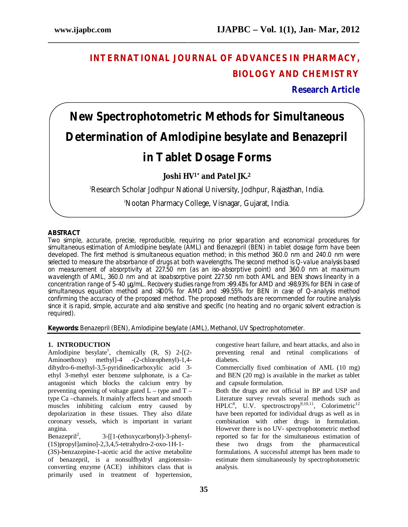# **INTERNATIONAL JOURNAL OF ADVANCES IN PHARMACY, BIOLOGY AND CHEMISTRY**

**Research Article**

# **New Spectrophotometric Methods for Simultaneous Determination of Amlodipine besylate and Benazepril in Tablet Dosage Forms**

**\_\_\_\_\_\_\_\_\_\_\_\_\_\_\_\_\_\_\_\_\_\_\_\_\_\_\_\_\_\_\_\_\_\_\_\_\_\_\_\_\_\_\_\_\_\_\_\_\_\_\_\_\_\_\_\_\_\_\_\_\_\_\_\_\_\_\_\_\_\_\_\_\_\_\_\_\_\_**

**Joshi HV1\* and Patel JK.<sup>2</sup>**

<sup>1</sup>Research Scholar Jodhpur National University, Jodhpur, Rajasthan, India.

<sup>2</sup>Nootan Pharmacy College, Visnagar, Gujarat, India.

# **ABSTRACT**

Two simple, accurate, precise, reproducible, requiring no prior separation and economical procedures for simultaneous estimation of Amlodipine besylate (AML) and Benazepril (BEN) in tablet dosage form have been developed. The first method is simultaneous equation method; in this method 360.0 nm and 240.0 nm were selected to measure the absorbance of drugs at both wavelengths. The second method is Q-value analysis based on measurement of absorptivity at 227.50 nm (as an iso-absorptive point) and 360.0 nm at maximum wavelength of AML, 360.0 nm and at isoabsorptive point 227.50 nm both AML and BEN shows linearity in a concentration range of 5-40 µg/mL. Recovery studies range from >99.41% for AMD and >98.93% for BEN in case of simultaneous equation method and >100% for AMD and >99.55% for BEN in case of Q-analysis method confirming the accuracy of the proposed method. The proposed methods are recommended for routine analysis since it is rapid, simple, accurate and also sensitive and specific (no heating and no organic solvent extraction is required).

**Keywords:** Benazepril (BEN), Amlodipine besylate (AML), Methanol, UV Spectrophotometer.

# **1. INTRODUCTION**

Amlodipine besylate<sup>1</sup>, chemically  $(R, S)$  2-[ $(2-$ Aminoethoxy) methyl]-4 -(2-chlorophenyl)-1,4 dihydro-6-methyl-3,5-pyridinedicarboxylic acid 3 ethyl 3-methyl ester benzene sulphonate, is a Caantagonist which blocks the calcium entry by preventing opening of voltage gated  $L -$  type and  $T$ type Ca –channels. It mainly affects heart and smooth muscles inhibiting calcium entry caused by depolarization in these tissues. They also dilate coronary vessels, which is important in variant angina.

Benazepril<sup>2</sup>, , 3-[[1-(ethoxycarbonyl)-3-phenyl- (1S)propyl]amino]-2,3,4,5-tetrahydro-2-oxo-1H-1-

(3S)-benzazepine-1-acetic acid the active metabolite of benazepril, is a nonsulfhydryl angiotensinconverting enzyme (ACE) inhibitors class that is primarily used in treatment of hypertension,

congestive heart failure, and heart attacks, and also in preventing renal and retinal complications of diabetes.

Commercially fixed combination of AML (10 mg) and BEN (20 mg) is available in the market as tablet and capsule formulation.

Both the drugs are not official in BP and USP and Literature survey reveals several methods such as  $HPLC<sup>8</sup>$ , U.V. spectrosctropy<sup>9,10,11</sup>, Colorimetric<sup>12</sup> have been reported for individual drugs as well as in combination with other drugs in formulation. However there is no UV- spectrophotometric method reported so far for the simultaneous estimation of these two drugs from the pharmaceutical formulations. A successful attempt has been made to estimate them simultaneously by spectrophotometric analysis.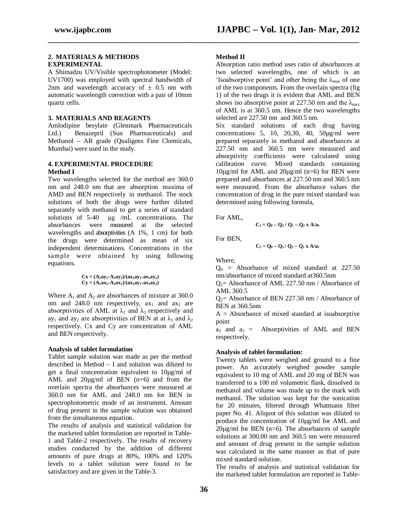#### **2. MATERIALS & METHODS EXPERIMENTAL**

A Shimadzu UV/Visible spectrophotometer (Model: UV1700) was employed with spectral bandwidth of 2nm and wavelength accuracy of  $\pm$  0.5 nm with automatic wavelength correction with a pair of 10mm quartz cells.

#### **3. MATERIALS AND REAGENTS**

Amlodipine besylate (Glenmark Pharmaceuticals Ltd.) Benazepril (Sun Pharmaceuticals) and Methanol – AR grade (Qualigens Fine Chemicals, Mumbai) were used in the study.

# **4. EXPERIMENTAL PROCEDURE Method I**

Two wavelengths selected for the method are 360.0 nm and 248.0 nm that are absorption maxima of AMD and BEN respectively in methanol. The stock solutions of both the drugs were further diluted separately with methanol to get a series of standard solutions of 5-40 µg /mL concentrations. The absorbances were measured at the selected wavelengths and absorptivities (A 1%, 1 cm) for both the drugs were determined as mean of six independent determinations. Concentrations in the sample were obtained by using following equations.

$$
Cx = (A_2ay_1 - A_1ay_2)/(ax_2ay_1 - ax_1ay_2)
$$
  
\n
$$
Cy = (A_1ax_2 - A_2ax_1)/(ax_2ay_1 - ax_1ay_2)
$$

Where  $A_1$  and  $A_2$  are absorbances of mixture at 360.0 nm and 248.0 nm respectively,  $ax_1$  and  $ax_2$  are absorptivities of AML at  $\lambda_1$  and  $\lambda_2$  respectively and ay<sub>1</sub> and ay<sub>2</sub> are absorptivities of BEN at at  $\lambda_1$  and  $\lambda_2$ respectively. Cx and Cy are concentration of AML and BEN respectively.

## **Analysis of tablet formulation**

Tablet sample solution was made as per the method described in Method – I and solution was diluted to get a final concentration equivalent to 10µg/ml of AML and  $20\mu\text{g/ml}$  of BEN (n=6) and from the overlain spectra the absorbances were measured at 360.0 nm for AML and 248.0 nm for BEN in spectrophotometric mode of an instrument. Amount of drug present in the sample solution was obtained from the simultaneous equation.

The results of analysis and statistical validation for the marketed tablet formulation are reported in Table-1 and Table-2 respectively. The results of recovery studies conducted by the addition of different amounts of pure drugs at 80%, 100% and 120% levels to a tablet solution were found to be satisfactory and are given in the Table-3.

## **Method II**

**\_\_\_\_\_\_\_\_\_\_\_\_\_\_\_\_\_\_\_\_\_\_\_\_\_\_\_\_\_\_\_\_\_\_\_\_\_\_\_\_\_\_\_\_\_\_\_\_\_\_\_\_\_\_\_\_\_\_\_\_\_\_\_\_\_\_\_\_\_\_\_\_\_\_\_\_\_\_**

Absorption ratio method uses ratio of absorbances at two selected wavelengths, one of which is an 'Isoabsorptive point' and other being the  $\lambda_{\text{max}}$  of one of the two components. From the overlain spectra (fig 1) of the two drugs it is evident that AML and BEN shows iso absorptive point at 227.50 nm and the  $\lambda_{\text{max}}$ of AML is at 360.5 nm. Hence the two wavelengths selected are 227.50 nm and 360.5 nm.

Six standard solutions of each drug having concentrations 5, 10, 20,30, 40, 50µg/ml were prepared separately in methanol and absorbances at 227.50 nm and 360.5 nm were measured and absorptivity coefficients were calculated using calibration curve. Mixed standards containing 10µg/ml for AML and 20µg/ml (n=6) for BEN were prepared and absorbances at 227.50 nm and 360.5 nm were measured. From the absorbance values the concentration of drug in the pure mixed standard was determined using following formula,

For AML,

$$
C_1 = Q_0 - Q_2 / Q_1 - Q_2 x A/a_1
$$

For BEN,

$$
C_2 = Q_0 - Q_1 / Q_2 - Q_1 x A/a_2
$$

Where,

 $Q_0$  = Absorbance of mixed standard at 227.50 nm/absorbance of mixed standard at360.5nm

 $Q_1$  = Absorbance of AML 227.50 nm / Absorbance of AML 360.5

 $Q_2$  = Absorbance of BEN 227.50 nm / Absorbance of BEN at 360.5nm

 $A = Absorbance$  of mixed standard at isoabsorptive point

 $a_2$  and  $a_2$  = Absorptivities of AML and BEN respectively.

## **Analysis of tablet formulation:**

Twenty tablets were weighed and ground to a fine power. An accurately weighed powder sample equivalent to 10 mg of AML and 20 mg of BEN was transferred to a 100 ml volumetric flask, dissolved in methanol and volume was made up to the mark with methanol. The solution was kept for the sonication for 20 minutes, filtered through Whatmann filter paper No. 41. Aliquot of this solution was diluted to produce the concentration of 10µg/ml for AML and  $20\mu\text{g/ml}$  for BEN (n=6). The absorbances of sample solutions at 300.00 nm and 360.5 nm were measured and amount of drug present in the sample solution was calculated in the same manner as that of pure mixed standard solution.

The results of analysis and statistical validation for the marketed tablet formulation are reported in Table-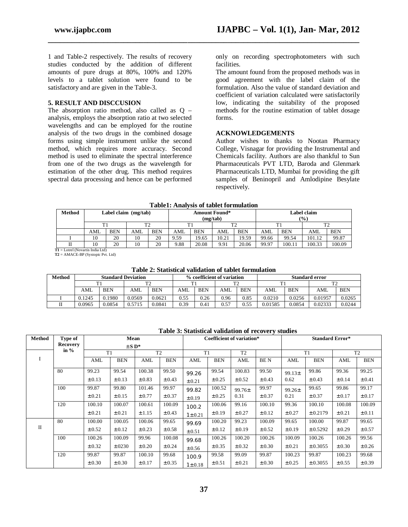1 and Table-2 respectively. The results of recovery studies conducted by the addition of different amounts of pure drugs at 80%, 100% and 120% levels to a tablet solution were found to be satisfactory and are given in the Table-3.

#### **5. RESULT AND DISCCUSION**

The absorption ratio method, also called as Q – analysis, employs the absorption ratio at two selected wavelengths and can be employed for the routine analysis of the two drugs in the combined dosage forms using simple instrument unlike the second method, which requires more accuracy. Second method is used to eliminate the spectral interference from one of the two drugs as the wavelength for estimation of the other drug. This method requires spectral data processing and hence can be performed

only on recording spectrophotometers with such facilities.

The amount found from the proposed methods was in good agreement with the label claim of the formulation. Also the value of standard deviation and coefficient of variation calculated were satisfactorily low, indicating the suitability of the proposed methods for the routine estimation of tablet dosage forms.

#### **ACKNOWLEDGEMENTS**

Author wishes to thanks to Nootan Pharmacy College, Visnagar for providing the Instrumental and Chemicals facility. Authors are also thankful to Sun Pharmaceuticals PVT LTD, Baroda and Glenmark Pharmaceuticals LTD, Mumbai for providing the gift samples of Beninopril and Amlodipine Besylate respectively.

| <b>Table1: Analysis of tablet formulation</b>         |                        |            |     |            |      |            |                      |            |                       |            |                |            |  |
|-------------------------------------------------------|------------------------|------------|-----|------------|------|------------|----------------------|------------|-----------------------|------------|----------------|------------|--|
| Method                                                | Label claim $(mg/tab)$ |            |     |            |      | (mg/tab)   | <b>Amount Found*</b> |            | Label claim<br>$($ %) |            |                |            |  |
|                                                       | Τ1                     |            | T2  |            |      |            | T <sub>2</sub>       |            | T1                    |            | T <sub>2</sub> |            |  |
|                                                       | AML                    | <b>BEN</b> | AML | <b>BEN</b> | AML  | <b>BEN</b> | AML                  | <b>BEN</b> | AML                   | <b>BEN</b> | AML            | <b>BEN</b> |  |
|                                                       | 10                     | 20         | 10  | 20         | 9.59 | 19.65      | 10.21                | 19.59      | 99.66                 | 99.54      | 101.12         | 99.87      |  |
|                                                       | 10                     | 20         | 10  | 20         | 9.88 | 20.08      | 9.91                 | 20.06      | 99.97                 | 100.11     | 100.33         | 100.09     |  |
| $\mathbf{P1} = \mathbf{I}$ otrol (Novertic Indie Ltd) |                        |            |     |            |      |            |                      |            |                       |            |                |            |  |

**\_\_\_\_\_\_\_\_\_\_\_\_\_\_\_\_\_\_\_\_\_\_\_\_\_\_\_\_\_\_\_\_\_\_\_\_\_\_\_\_\_\_\_\_\_\_\_\_\_\_\_\_\_\_\_\_\_\_\_\_\_\_\_\_\_\_\_\_\_\_\_\_\_\_\_\_\_\_**

**T1** = Lotrel (Novartis India Ltd)  **T2** = AMACE-BP (Systopic Pvt. Ltd)

#### **Table 2: Statistical validation of tablet formulation**

| <b>Method</b> | <b>Standard Deviation</b> |            |        |            |      |            | % coefficient of variation |            | <b>Standard error</b> |            |         |            |  |
|---------------|---------------------------|------------|--------|------------|------|------------|----------------------------|------------|-----------------------|------------|---------|------------|--|
|               |                           |            | ጥኅ     |            | ᠇᠇   |            | mo.                        |            |                       |            | T٦      |            |  |
|               | AML                       | <b>BEN</b> | AML    | <b>BEN</b> | AMI. | <b>BEN</b> | AML                        | <b>BEN</b> | AML                   | <b>BEN</b> | AML     | <b>BEN</b> |  |
|               | 0.1245                    | 0.1980     | 0.0569 | 0.0621     | 0.55 | 0.26       | 0.96                       | 0.85       | 0.0210                | 0.0256     | 0.01957 | 0.0265     |  |
|               | 0.0965                    | 0.0854     | 0.5715 | 0.0841     | 0.39 | 0.41       | 0.57                       | 0.55       | 0.01585               | 0.0854     | 0.02333 | 0.0244     |  |

**Table 3: Statistical validation of recovery studies**

| <b>Method</b> | Type of         |                       | Mean       |                |            | Coefficient of variation* |            |                |            | <b>Standard Error*</b> |              |                |            |
|---------------|-----------------|-----------------------|------------|----------------|------------|---------------------------|------------|----------------|------------|------------------------|--------------|----------------|------------|
|               | <b>Recovery</b> | $\pm$ SD <sup>*</sup> |            |                |            |                           |            |                |            |                        |              |                |            |
|               | in $%$          | T1                    |            | T <sub>2</sub> |            | T1                        |            | T <sub>2</sub> |            | T1                     |              | T <sub>2</sub> |            |
| I             |                 | AML                   | <b>BEN</b> | AML            | <b>BEN</b> | AML                       | <b>BEN</b> | AML            | <b>BEN</b> | AML                    | <b>BEN</b>   | AML            | <b>BEN</b> |
|               | 80              | 99.23                 | 99.54      | 100.38         | 99.50      | 99.26                     | 99.54      | 100.83         | 99.50      | $99.13 \pm$            | 99.86        | 99.36          | 99.25      |
|               |                 | $\pm 0.13$            | $\pm 0.13$ | $\pm 0.83$     | $\pm 0.43$ | $\pm 0.21$                | $\pm 0.25$ | $\pm 0.52$     | $\pm 0.43$ | 0.62                   | $\pm 0.43$   | $\pm 0.14$     | $\pm 0.41$ |
|               | 100             | 99.87                 | 99.80      | 101.46         | 99.97      | 99.82                     | 100.52     | $99.76 \pm$    | 99.97      | $99.26 \pm$            | 99.65        | 99.86          | 99.17      |
|               |                 | $\pm 0.21$            | $\pm 0.15$ | $\pm 0.77$     | $\pm 0.37$ | $\pm 0.19$                | $\pm 0.25$ | 0.31           | $\pm 0.37$ | 0.21                   | $\pm 0.37$   | $\pm 0.17$     | $\pm 0.17$ |
|               | 120             | 100.10                | 100.07     | 100.61         | 100.09     | 100.2                     | 100.06     | 99.16          | 100.10     | 99.36                  | 100.10       | 100.08         | 100.09     |
|               |                 | $\pm 0.21$            | $\pm 0.21$ | $\pm 1.15$     | $\pm 0.43$ | $1 \pm 0.21$              | $\pm 0.19$ | $\pm 0.27$     | $\pm 0.12$ | $\pm 0.27$             | $\pm 0.2179$ | $\pm 0.21$     | $\pm 0.11$ |
|               | 80              | 100.00                | 100.05     | 100.06         | 99.65      | 99.69                     | 100.20     | 99.23          | 100.09     | 99.65                  | 100.00       | 99.87          | 99.65      |
| П             |                 | $\pm 0.52$            | $\pm 0.12$ | $\pm 0.23$     | $\pm 0.58$ | $\pm 0.51$                | $\pm 0.12$ | $\pm 0.19$     | $\pm 0.52$ | $\pm 0.19$             | $\pm 0.5292$ | $\pm 0.29$     | $\pm 0.57$ |
|               | 100             | 100.26                | 100.09     | 99.96          | 100.08     | 99.68                     | 100.26     | 100.20         | 100.26     | 100.09                 | 100.26       | 100.26         | 99.56      |
|               |                 | $\pm 0.32$            | $\pm 0230$ | $\pm 0.20$     | $\pm 0.24$ | $\pm 0.56$                | $\pm 0.35$ | $\pm 0.32$     | $\pm 0.30$ | $\pm 0.21$             | $\pm 0.3055$ | $\pm 0.30$     | $\pm 0.26$ |
|               | 120             | 99.87                 | 99.87      | 100.10         | 99.68      | 100.9                     | 99.58      | 99.09          | 99.87      | 100.23                 | 99.87        | 100.23         | 99.68      |
|               |                 | $\pm 0.30$            | $\pm 0.30$ | $\pm 0.17$     | $\pm 0.35$ | $1 \pm 0.18$              | $\pm 0.51$ | $\pm 0.21$     | $\pm 0.30$ | $\pm 0.25$             | $\pm 0.3055$ | $\pm 0.55$     | $\pm 0.39$ |